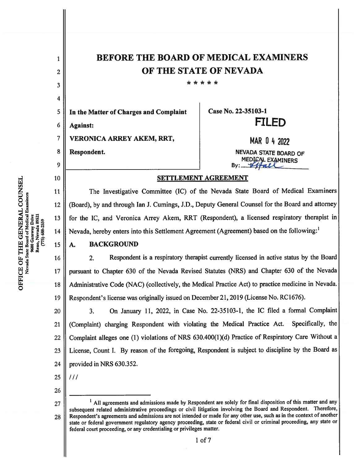| $\mathbf{1}$            | <b>BEFORE THE BOARD OF MEDICAL EXAMINERS</b>                                                                                                                                                                                                                                                                          |                          |  |
|-------------------------|-----------------------------------------------------------------------------------------------------------------------------------------------------------------------------------------------------------------------------------------------------------------------------------------------------------------------|--------------------------|--|
| $\overline{c}$          | OF THE STATE OF NEVADA                                                                                                                                                                                                                                                                                                |                          |  |
| 3                       | * * * * *                                                                                                                                                                                                                                                                                                             |                          |  |
| $\overline{\mathbf{4}}$ |                                                                                                                                                                                                                                                                                                                       |                          |  |
| 5                       | In the Matter of Charges and Complaint                                                                                                                                                                                                                                                                                | Case No. 22-35103-1      |  |
| 6                       | <b>Against:</b>                                                                                                                                                                                                                                                                                                       | <b>FILED</b>             |  |
| 7                       | VERONICA ARREY AKEM, RRT,                                                                                                                                                                                                                                                                                             | MAR 0 4 2022             |  |
| 8                       | Respondent.                                                                                                                                                                                                                                                                                                           | NEVADA STATE BOARD OF    |  |
| 9                       |                                                                                                                                                                                                                                                                                                                       | MEDICAL EXAMINERS<br>By: |  |
| 10                      | <b>SETTLEMENT AGREEMENT</b>                                                                                                                                                                                                                                                                                           |                          |  |
| 11                      | The Investigative Committee (IC) of the Nevada State Board of Medical Examiners                                                                                                                                                                                                                                       |                          |  |
| 12                      | (Board), by and through Ian J. Cumings, J.D., Deputy General Counsel for the Board and attorney                                                                                                                                                                                                                       |                          |  |
| 13                      | for the IC, and Veronica Arrey Akem, RRT (Respondent), a licensed respiratory therapist in                                                                                                                                                                                                                            |                          |  |
| 14                      | Nevada, hereby enters into this Settlement Agreement (Agreement) based on the following: <sup>1</sup>                                                                                                                                                                                                                 |                          |  |
| 15                      | <b>BACKGROUND</b><br>A.                                                                                                                                                                                                                                                                                               |                          |  |
| 16                      | Respondent is a respiratory therapist currently licensed in active status by the Board<br>2.                                                                                                                                                                                                                          |                          |  |
| 17                      | pursuant to Chapter 630 of the Nevada Revised Statutes (NRS) and Chapter 630 of the Nevada                                                                                                                                                                                                                            |                          |  |
| 18                      | Administrative Code (NAC) (collectively, the Medical Practice Act) to practice medicine in Nevada.                                                                                                                                                                                                                    |                          |  |
| 19                      | Respondent's license was originally issued on December 21, 2019 (License No. RC1676).                                                                                                                                                                                                                                 |                          |  |
| 20                      | On January 11, 2022, in Case No. 22-35103-1, the IC filed a formal Complaint<br>3.                                                                                                                                                                                                                                    |                          |  |
| 21                      | (Complaint) charging Respondent with violating the Medical Practice Act.<br>Specifically, the                                                                                                                                                                                                                         |                          |  |
| 22                      | Complaint alleges one (1) violations of NRS 630.400(1)(d) Practice of Respiratory Care Without a                                                                                                                                                                                                                      |                          |  |
| 23                      | License, Count I. By reason of the foregoing, Respondent is subject to discipline by the Board as                                                                                                                                                                                                                     |                          |  |
| 24                      | provided in NRS 630.352.                                                                                                                                                                                                                                                                                              |                          |  |
| 25                      | 111                                                                                                                                                                                                                                                                                                                   |                          |  |
| 26                      |                                                                                                                                                                                                                                                                                                                       |                          |  |
| 27                      | <sup>1</sup> All agreements and admissions made by Respondent are solely for final disposition of this matter and any<br>subsequent related administrative proceedings or civil litigation involving the Board and Respondent. Therefore,                                                                             |                          |  |
| 28                      | Respondent's agreements and admissions are not intended or made for any other use, such as in the context of another<br>state or federal government regulatory agency proceeding, state or federal civil or criminal proceeding, any state or<br>federal court proceeding, or any credentialing or privileges matter. |                          |  |

**OFFICE OF THE GENERAL COUNSEL**<br>Nevada State Board of Medical Examiners<br>9600 Gateway Drive<br>Reno, Nevada 89521<br>(775) 688-2559

 $1$  of  $7$ 

a.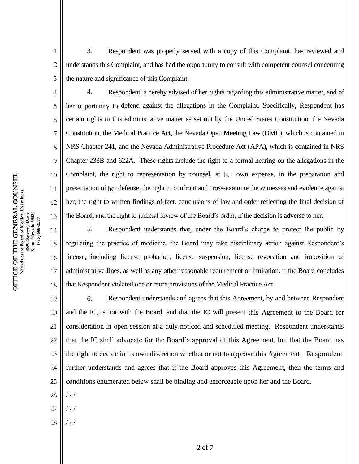3. Respondent was properly served with a copy of this Complaint, has reviewed and understands this Complaint, and has had the opportunity to consult with competent counsel concerning the nature and significance of this Complaint.

4. Respondent is hereby advised of her rights regarding this administrative matter, and of her opportunity to defend against the allegations in the Complaint. Specifically, Respondent has certain rights in this administrative matter as set out by the United States Constitution, the Nevada Constitution, the Medical Practice Act, the Nevada Open Meeting Law (OML), which is contained in NRS Chapter 241, and the Nevada Administrative Procedure Act (APA), which is contained in NRS Chapter 233B and 622A. These rights include the right to a formal hearing on the allegations in the Complaint, the right to representation by counsel, at her own expense, in the preparation and presentation of her defense, the right to confront and cross-examine the witnesses and evidence against her, the right to written findings of fact, conclusions of law and order reflecting the final decision of the Board, and the right to judicial review of the Board's order, if the decision is adverse to her.

5. Respondent understands that, under the Board's charge to protect the public by regulating the practice of medicine, the Board may take disciplinary action against Respondent's license, including license probation, license suspension, license revocation and imposition of administrative fines, as well as any other reasonable requirement or limitation, if the Board concludes that Respondent violated one or more provisions of the Medical Practice Act.

19 20 21 22 23 24 25 6. Respondent understands and agrees that this Agreement, by and between Respondent and the IC, is not with the Board, and that the IC will present this Agreement to the Board for consideration in open session at a duly noticed and scheduled meeting. Respondent understands that the IC shall advocate for the Board's approval of this Agreement, but that the Board has the right to decide in its own discretion whether or not to approve this Agreement. Respondent further understands and agrees that if the Board approves this Agreement, then the terms and conditions enumerated below shall be binding and enforceable upon her and the Board.

- 26 / / /
- 27 / / /
- 28 / / /

1

2

3

4

5

6

7

8

9

10

11

12

13

14

15

16

17

18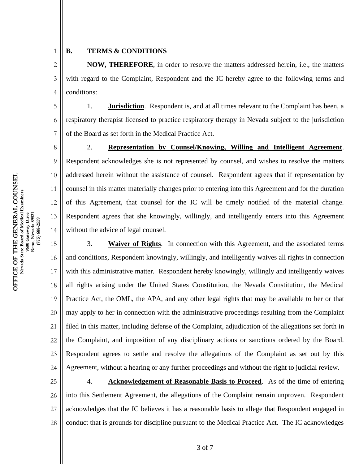2

7

8

9

10

11

12

13

14

1

## **B. TERMS & CONDITIONS**

3 4 **NOW, THEREFORE**, in order to resolve the matters addressed herein, i.e., the matters with regard to the Complaint, Respondent and the IC hereby agree to the following terms and conditions:

5 6 1. **Jurisdiction**. Respondent is, and at all times relevant to the Complaint has been, a respiratory therapist licensed to practice respiratory therapy in Nevada subject to the jurisdiction of the Board as set forth in the Medical Practice Act.

2. **Representation by Counsel/Knowing, Willing and Intelligent Agreement**. Respondent acknowledges she is not represented by counsel, and wishes to resolve the matters addressed herein without the assistance of counsel. Respondent agrees that if representation by counsel in this matter materially changes prior to entering into this Agreement and for the duration of this Agreement, that counsel for the IC will be timely notified of the material change. Respondent agrees that she knowingly, willingly, and intelligently enters into this Agreement without the advice of legal counsel.

15 16 17 18 19 20 21 22 23 24 3. **Waiver of Rights**. In connection with this Agreement, and the associated terms and conditions, Respondent knowingly, willingly, and intelligently waives all rights in connection with this administrative matter. Respondent hereby knowingly, willingly and intelligently waives all rights arising under the United States Constitution, the Nevada Constitution, the Medical Practice Act, the OML, the APA, and any other legal rights that may be available to her or that may apply to her in connection with the administrative proceedings resulting from the Complaint filed in this matter, including defense of the Complaint, adjudication of the allegations set forth in the Complaint, and imposition of any disciplinary actions or sanctions ordered by the Board. Respondent agrees to settle and resolve the allegations of the Complaint as set out by this Agreement, without a hearing or any further proceedings and without the right to judicial review.

25

26

27

28

4. **Acknowledgement of Reasonable Basis to Proceed**. As of the time of entering into this Settlement Agreement, the allegations of the Complaint remain unproven. Respondent acknowledges that the IC believes it has a reasonable basis to allege that Respondent engaged in conduct that is grounds for discipline pursuant to the Medical Practice Act. The IC acknowledges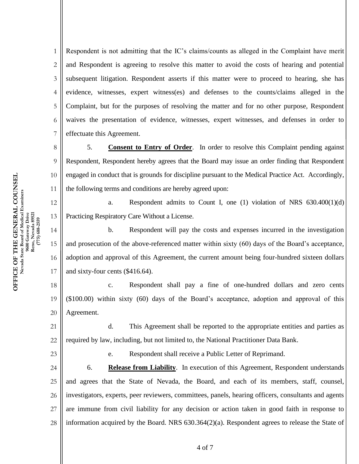1 2 3 4 5 6 7 Respondent is not admitting that the IC's claims/counts as alleged in the Complaint have merit and Respondent is agreeing to resolve this matter to avoid the costs of hearing and potential subsequent litigation. Respondent asserts if this matter were to proceed to hearing, she has evidence, witnesses, expert witness(es) and defenses to the counts/claims alleged in the Complaint, but for the purposes of resolving the matter and for no other purpose, Respondent waives the presentation of evidence, witnesses, expert witnesses, and defenses in order to effectuate this Agreement.

5. **Consent to Entry of Order**. In order to resolve this Complaint pending against Respondent, Respondent hereby agrees that the Board may issue an order finding that Respondent engaged in conduct that is grounds for discipline pursuant to the Medical Practice Act. Accordingly, the following terms and conditions are hereby agreed upon:

a. Respondent admits to Count I, one (1) violation of NRS 630.400(1)(d) Practicing Respiratory Care Without a License.

b. Respondent will pay the costs and expenses incurred in the investigation and prosecution of the above-referenced matter within sixty (60) days of the Board's acceptance, adoption and approval of this Agreement, the current amount being four-hundred sixteen dollars and sixty-four cents (\$416.64).

18 19 20 c. Respondent shall pay a fine of one-hundred dollars and zero cents (\$100.00) within sixty (60) days of the Board's acceptance, adoption and approval of this Agreement.

21 22 d. This Agreement shall be reported to the appropriate entities and parties as required by law, including, but not limited to, the National Practitioner Data Bank.

23

8

9

10

11

12

13

14

15

16

17

e. Respondent shall receive a Public Letter of Reprimand.

24 25 26 27 28 6. **Release from Liability**. In execution of this Agreement, Respondent understands and agrees that the State of Nevada, the Board, and each of its members, staff, counsel, investigators, experts, peer reviewers, committees, panels, hearing officers, consultants and agents are immune from civil liability for any decision or action taken in good faith in response to information acquired by the Board. NRS 630.364(2)(a). Respondent agrees to release the State of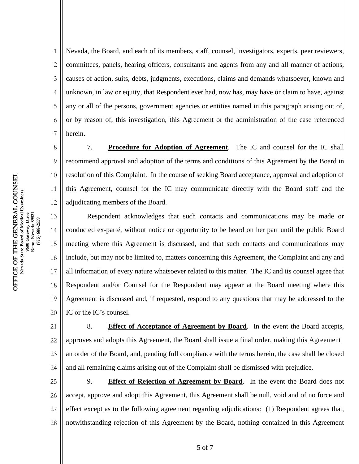1 2 3 4 5 6 7 8 Nevada, the Board, and each of its members, staff, counsel, investigators, experts, peer reviewers, committees, panels, hearing officers, consultants and agents from any and all manner of actions, causes of action, suits, debts, judgments, executions, claims and demands whatsoever, known and unknown, in law or equity, that Respondent ever had, now has, may have or claim to have, against any or all of the persons, government agencies or entities named in this paragraph arising out of, or by reason of, this investigation, this Agreement or the administration of the case referenced herein.

7. **Procedure for Adoption of Agreement**. The IC and counsel for the IC shall recommend approval and adoption of the terms and conditions of this Agreement by the Board in resolution of this Complaint. In the course of seeking Board acceptance, approval and adoption of this Agreement, counsel for the IC may communicate directly with the Board staff and the adjudicating members of the Board.

13 14 15 16 17 18 19 20 Respondent acknowledges that such contacts and communications may be made or conducted ex-parté, without notice or opportunity to be heard on her part until the public Board meeting where this Agreement is discussed, and that such contacts and communications may include, but may not be limited to, matters concerning this Agreement, the Complaint and any and all information of every nature whatsoever related to this matter. The IC and its counsel agree that Respondent and/or Counsel for the Respondent may appear at the Board meeting where this Agreement is discussed and, if requested, respond to any questions that may be addressed to the IC or the IC's counsel.

21 22 23 24 8. **Effect of Acceptance of Agreement by Board**. In the event the Board accepts, approves and adopts this Agreement, the Board shall issue a final order, making this Agreement an order of the Board, and, pending full compliance with the terms herein, the case shall be closed and all remaining claims arising out of the Complaint shall be dismissed with prejudice.

25 26 27 28 9. **Effect of Rejection of Agreement by Board**. In the event the Board does not accept, approve and adopt this Agreement, this Agreement shall be null, void and of no force and effect except as to the following agreement regarding adjudications: (1) Respondent agrees that, notwithstanding rejection of this Agreement by the Board, nothing contained in this Agreement

9

10

11

12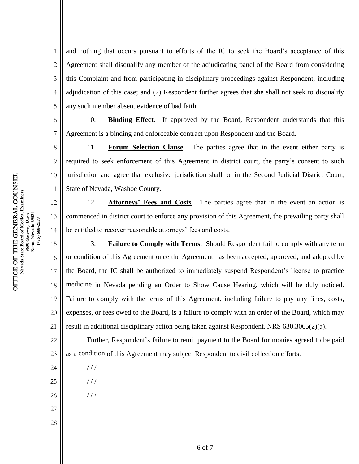1 2 3 4 5 and nothing that occurs pursuant to efforts of the IC to seek the Board's acceptance of this Agreement shall disqualify any member of the adjudicating panel of the Board from considering this Complaint and from participating in disciplinary proceedings against Respondent, including adjudication of this case; and (2) Respondent further agrees that she shall not seek to disqualify any such member absent evidence of bad faith.

10. **Binding Effect**. If approved by the Board, Respondent understands that this Agreement is a binding and enforceable contract upon Respondent and the Board.

11. **Forum Selection Clause**. The parties agree that in the event either party is required to seek enforcement of this Agreement in district court, the party's consent to such jurisdiction and agree that exclusive jurisdiction shall be in the Second Judicial District Court, State of Nevada, Washoe County.

12. **Attorneys' Fees and Costs**. The parties agree that in the event an action is commenced in district court to enforce any provision of this Agreement, the prevailing party shall be entitled to recover reasonable attorneys' fees and costs.

15 16 17 18 19 20 21 13. **Failure to Comply with Terms**. Should Respondent fail to comply with any term or condition of this Agreement once the Agreement has been accepted, approved, and adopted by the Board, the IC shall be authorized to immediately suspend Respondent's license to practice medicine in Nevada pending an Order to Show Cause Hearing, which will be duly noticed. Failure to comply with the terms of this Agreement, including failure to pay any fines, costs, expenses, or fees owed to the Board, is a failure to comply with an order of the Board, which may result in additional disciplinary action being taken against Respondent. NRS 630.3065(2)(a).

22 23 Further, Respondent's failure to remit payment to the Board for monies agreed to be paid as a condition of this Agreement may subject Respondent to civil collection efforts.

/ / /

 $1/1$ 

/ / /

- 26
- 27

24

25

28

**OFFICE OF THE GENERAL COUNSEL**  OFFICE OF THE GENERAL COUNSEL **Nevada State Board of Medical Examiners**  Nevada State Board of Medical Examiners 9600 Gateway Drive<br>Reno, Nevada 89521<br>(775) 688-2559 **9600 Gateway Drive Reno, Nevada 89521 (775) 688-2559**  6

7

8

9

10

11

12

13

14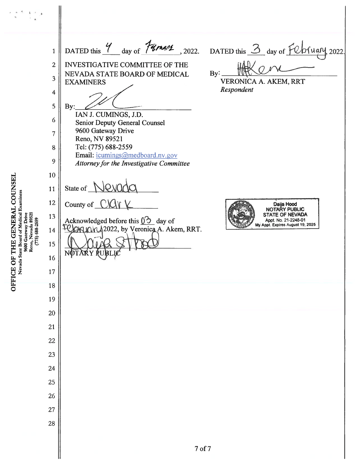DATED this Y day of Fumans DATED this 3 day of February, 2022.  $, 2022.$  $\overline{1}$  $\overline{2}$ **INVESTIGATIVE COMMITTEE OF THE** By: NEVADA STATE BOARD OF MEDICAL  $\overline{3}$ **VERONICA A. AKEM, RRT EXAMINERS** Respondent  $\overline{\mathbf{4}}$ 5 By: IAN J. CUMINGS, J.D. 6 **Senior Deputy General Counsel** 9600 Gateway Drive  $\overline{7}$ Reno, NV 89521 Tel: (775) 688-2559 8 Email: icumings@medboard.nv.gov 9 **Attorney for the Investigative Committee** 10 State of  $\bigwedge$ lovinda 11 Nevada State Board of Medical Examiners 12 County of  $C\mathcal{U}\mathcal{V}$ Daija Hood<br>NOTARY PUBLIC 9600 Gateway Drive<br>Reno, Nevada 89521<br>(775) 688-2559 13 **STATE OF NEVADA** Acknowledged before this  $\bigcirc$  day of Appt. No. 21-2248-01 My Appt. Expires August 19, 2025 **ORION 2022**, by Veronica A. Akem, RRT. 14 15 16 17 18 19 20 21 22 23 24 25 26 27 28  $7<sub>of</sub>7$ 

OFFICE OF THE GENERAL COUNSEL